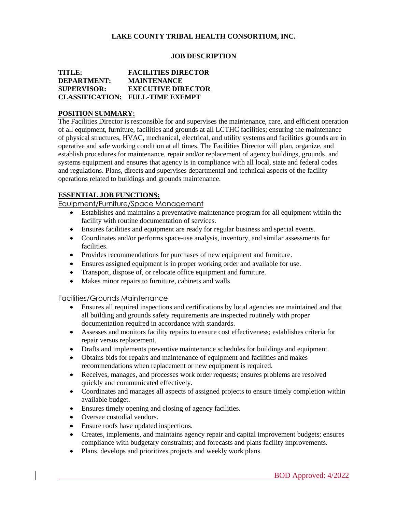## **LAKE COUNTY TRIBAL HEALTH CONSORTIUM, INC.**

#### **JOB DESCRIPTION**

### **TITLE: FACILITIES DIRECTOR DEPARTMENT: MAINTENANCE SUPERVISOR: EXECUTIVE DIRECTOR CLASSIFICATION: FULL-TIME EXEMPT**

## **POSITION SUMMARY:**

The Facilities Director is responsible for and supervises the maintenance, care, and efficient operation of all equipment, furniture, facilities and grounds at all LCTHC facilities; ensuring the maintenance of physical structures, HVAC, mechanical, electrical, and utility systems and facilities grounds are in operative and safe working condition at all times. The Facilities Director will plan, organize, and establish procedures for maintenance, repair and/or replacement of agency buildings, grounds, and systems equipment and ensures that agency is in compliance with all local, state and federal codes and regulations. Plans, directs and supervises departmental and technical aspects of the facility operations related to buildings and grounds maintenance.

## **ESSENTIAL JOB FUNCTIONS:**

Equipment/Furniture/Space Management

- Establishes and maintains a preventative maintenance program for all equipment within the facility with routine documentation of services.
- Ensures facilities and equipment are ready for regular business and special events.
- Coordinates and/or performs space-use analysis, inventory, and similar assessments for facilities.
- Provides recommendations for purchases of new equipment and furniture.
- Ensures assigned equipment is in proper working order and available for use.
- Transport, dispose of, or relocate office equipment and furniture.
- Makes minor repairs to furniture, cabinets and walls

#### Facilities/Grounds Maintenance

- Ensures all required inspections and certifications by local agencies are maintained and that all building and grounds safety requirements are inspected routinely with proper documentation required in accordance with standards.
- Assesses and monitors facility repairs to ensure cost effectiveness; establishes criteria for repair versus replacement.
- Drafts and implements preventive maintenance schedules for buildings and equipment.
- Obtains bids for repairs and maintenance of equipment and facilities and makes recommendations when replacement or new equipment is required.
- Receives, manages, and processes work order requests; ensures problems are resolved quickly and communicated effectively.
- Coordinates and manages all aspects of assigned projects to ensure timely completion within available budget.
- Ensures timely opening and closing of agency facilities.
- Oversee custodial vendors.
- Ensure roofs have updated inspections.
- Creates, implements, and maintains agency repair and capital improvement budgets; ensures compliance with budgetary constraints; and forecasts and plans facility improvements.
- Plans, develops and prioritizes projects and weekly work plans.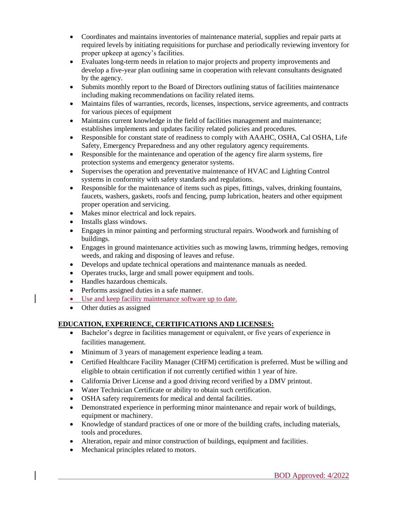- Coordinates and maintains inventories of maintenance material, supplies and repair parts at required levels by initiating requisitions for purchase and periodically reviewing inventory for proper upkeep at agency's facilities.
- Evaluates long-term needs in relation to major projects and property improvements and develop a five-year plan outlining same in cooperation with relevant consultants designated by the agency.
- Submits monthly report to the Board of Directors outlining status of facilities maintenance including making recommendations on facility related items.
- Maintains files of warranties, records, licenses, inspections, service agreements, and contracts for various pieces of equipment
- Maintains current knowledge in the field of facilities management and maintenance; establishes implements and updates facility related policies and procedures.
- Responsible for constant state of readiness to comply with AAAHC, OSHA, Cal OSHA, Life Safety, Emergency Preparedness and any other regulatory agency requirements.
- Responsible for the maintenance and operation of the agency fire alarm systems, fire protection systems and emergency generator systems.
- Supervises the operation and preventative maintenance of HVAC and Lighting Control systems in conformity with safety standards and regulations.
- Responsible for the maintenance of items such as pipes, fittings, valves, drinking fountains, faucets, washers, gaskets, roofs and fencing, pump lubrication, heaters and other equipment proper operation and servicing.
- Makes minor electrical and lock repairs.
- Installs glass windows.
- Engages in minor painting and performing structural repairs. Woodwork and furnishing of buildings.
- Engages in ground maintenance activities such as mowing lawns, trimming hedges, removing weeds, and raking and disposing of leaves and refuse.
- Develops and update technical operations and maintenance manuals as needed.
- Operates trucks, large and small power equipment and tools.
- Handles hazardous chemicals.
- Performs assigned duties in a safe manner.
- Use and keep facility maintenance software up to date.
- Other duties as assigned

# **EDUCATION, EXPERIENCE, CERTIFICATIONS AND LICENSES:**

- Bachelor's degree in facilities management or equivalent, or five years of experience in facilities management.
- Minimum of 3 years of management experience leading a team.
- Certified Healthcare Facility Manager (CHFM) certification is preferred. Must be willing and eligible to obtain certification if not currently certified within 1 year of hire.
- California Driver License and a good driving record verified by a DMV printout.
- Water Technician Certificate or ability to obtain such certification.
- OSHA safety requirements for medical and dental facilities.
- Demonstrated experience in performing minor maintenance and repair work of buildings, equipment or machinery.
- Knowledge of standard practices of one or more of the building crafts, including materials, tools and procedures.
- Alteration, repair and minor construction of buildings, equipment and facilities.
- Mechanical principles related to motors.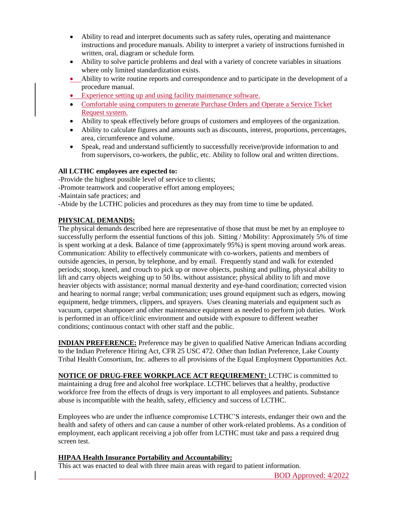- Ability to read and interpret documents such as safety rules, operating and maintenance instructions and procedure manuals. Ability to interpret a variety of instructions furnished in written, oral, diagram or schedule form.
- Ability to solve particle problems and deal with a variety of concrete variables in situations where only limited standardization exists.
- Ability to write routine reports and correspondence and to participate in the development of a procedure manual.
- Experience setting up and using facility maintenance software.
- Comfortable using computers to generate Purchase Orders and Operate a Service Ticket Request system.
- Ability to speak effectively before groups of customers and employees of the organization.
- Ability to calculate figures and amounts such as discounts, interest, proportions, percentages, area, circumference and volume.
- Speak, read and understand sufficiently to successfully receive/provide information to and from supervisors, co-workers, the public, etc. Ability to follow oral and written directions.

## **All LCTHC employees are expected to:**

-Provide the highest possible level of service to clients;

-Promote teamwork and cooperative effort among employees;

-Maintain safe practices; and

-Abide by the LCTHC policies and procedures as they may from time to time be updated.

# **PHYSICAL DEMANDS:**

The physical demands described here are representative of those that must be met by an employee to successfully perform the essential functions of this job. Sitting / Mobility: Approximately 5% of time is spent working at a desk. Balance of time (approximately 95%) is spent moving around work areas. Communication: Ability to effectively communicate with co-workers, patients and members of outside agencies, in person, by telephone, and by email. Frequently stand and walk for extended periods; stoop, kneel, and crouch to pick up or move objects, pushing and pulling, physical ability to lift and carry objects weighing up to 50 lbs. without assistance; physical ability to lift and move heavier objects with assistance; normal manual dexterity and eye-hand coordination; corrected vision and hearing to normal range; verbal communication; uses ground equipment such as edgers, mowing equipment, hedge trimmers, clippers, and sprayers. Uses cleaning materials and equipment such as vacuum, carpet shampooer and other maintenance equipment as needed to perform job duties. Work is performed in an office/clinic environment and outside with exposure to different weather conditions; continuous contact with other staff and the public.

**INDIAN PREFERENCE:** Preference may be given to qualified Native American Indians according to the Indian Preference Hiring Act, CFR 25 USC 472. Other than Indian Preference, Lake County Tribal Health Consortium, Inc. adheres to all provisions of the Equal Employment Opportunities Act.

**NOTICE OF DRUG-FREE WORKPLACE ACT REQUIREMENT:** LCTHC is committed to maintaining a drug free and alcohol free workplace. LCTHC believes that a healthy, productive workforce free from the effects of drugs is very important to all employees and patients. Substance abuse is incompatible with the health, safety, efficiency and success of LCTHC.

Employees who are under the influence compromise LCTHC'S interests, endanger their own and the health and safety of others and can cause a number of other work-related problems. As a condition of employment, each applicant receiving a job offer from LCTHC must take and pass a required drug screen test.

## **HIPAA Health Insurance Portability and Accountability:**

This act was enacted to deal with three main areas with regard to patient information.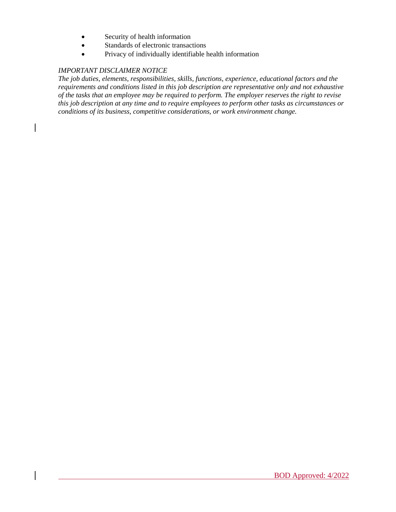- Security of health information
- Standards of electronic transactions
- Privacy of individually identifiable health information

## *IMPORTANT DISCLAIMER NOTICE*

*The job duties, elements, responsibilities, skills, functions, experience, educational factors and the requirements and conditions listed in this job description are representative only and not exhaustive of the tasks that an employee may be required to perform. The employer reserves the right to revise this job description at any time and to require employees to perform other tasks as circumstances or conditions of its business, competitive considerations, or work environment change.*